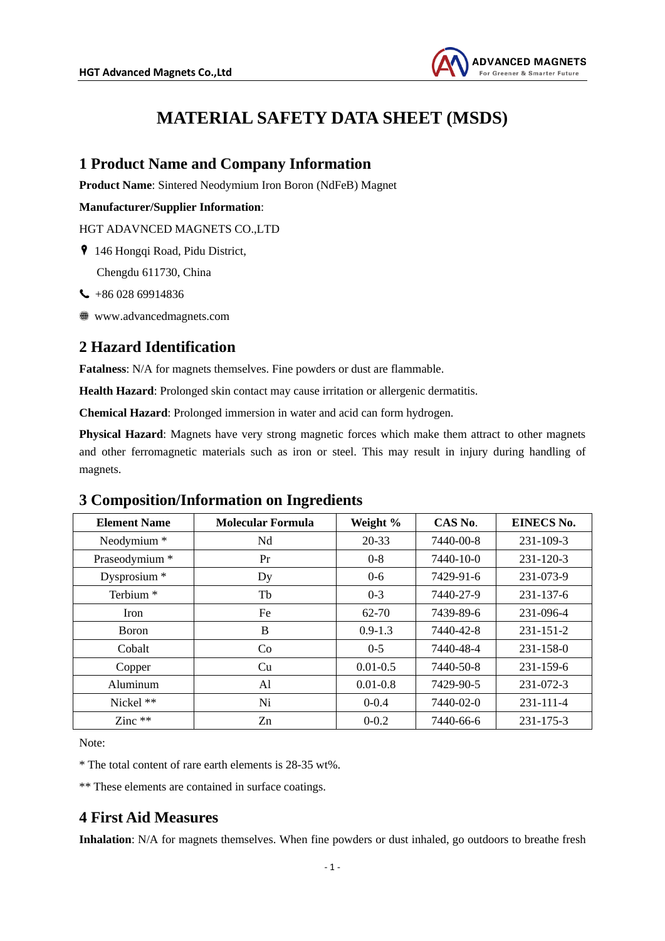

# **MATERIAL SAFETY DATA SHEET (MSDS)**

### **1 Product Name and Company Information**

**Product Name**: Sintered Neodymium Iron Boron (NdFeB) Magnet

#### **Manufacturer/Supplier Information**:

HGT ADAVNCED MAGNETS CO.,LTD

146 Hongqi Road, Pidu District,

Chengdu 611730, China

- $\leftarrow$  +86 028 69914836
- www.advancedmagnets.com

### **2 Hazard Identification**

**Fatalness**: N/A for magnets themselves. Fine powders or dust are flammable.

**Health Hazard**: Prolonged skin contact may cause irritation or allergenic dermatitis.

**Chemical Hazard**: Prolonged immersion in water and acid can form hydrogen.

**Physical Hazard**: Magnets have very strong magnetic forces which make them attract to other magnets and other ferromagnetic materials such as iron or steel. This may result in injury during handling of magnets.

## **3 Composition/Information on Ingredients**

| <b>Element Name</b>  | <b>Molecular Formula</b> | Weight %     | CAS No.   | <b>EINECS No.</b> |
|----------------------|--------------------------|--------------|-----------|-------------------|
| Neodymium *          | Nd                       | 20-33        | 7440-00-8 | 231-109-3         |
| Praseodymium *       | Pr                       | $0 - 8$      | 7440-10-0 | $231 - 120 - 3$   |
| Dysprosium *         | Dy                       | $0 - 6$      | 7429-91-6 | 231-073-9         |
| Terbium <sup>*</sup> | Tb                       | $0 - 3$      | 7440-27-9 | 231-137-6         |
| <b>Iron</b>          | Fe                       | $62 - 70$    | 7439-89-6 | 231-096-4         |
| <b>Boron</b>         | B                        | $0.9 - 1.3$  | 7440-42-8 | $231 - 151 - 2$   |
| Cobalt               | Co                       | $0 - 5$      | 7440-48-4 | $231 - 158 - 0$   |
| Copper               | Cu                       | $0.01 - 0.5$ | 7440-50-8 | 231-159-6         |
| Aluminum             | Al                       | $0.01 - 0.8$ | 7429-90-5 | $231 - 072 - 3$   |
| Nickel **            | Ni                       | $0 - 0.4$    | 7440-02-0 | 231-111-4         |
| Zinc $**$            | Zn                       | $0 - 0.2$    | 7440-66-6 | 231-175-3         |

Note:

\* The total content of rare earth elements is 28-35 wt%.

\*\* These elements are contained in surface coatings.

## **4 First Aid Measures**

**Inhalation**: N/A for magnets themselves. When fine powders or dust inhaled, go outdoors to breathe fresh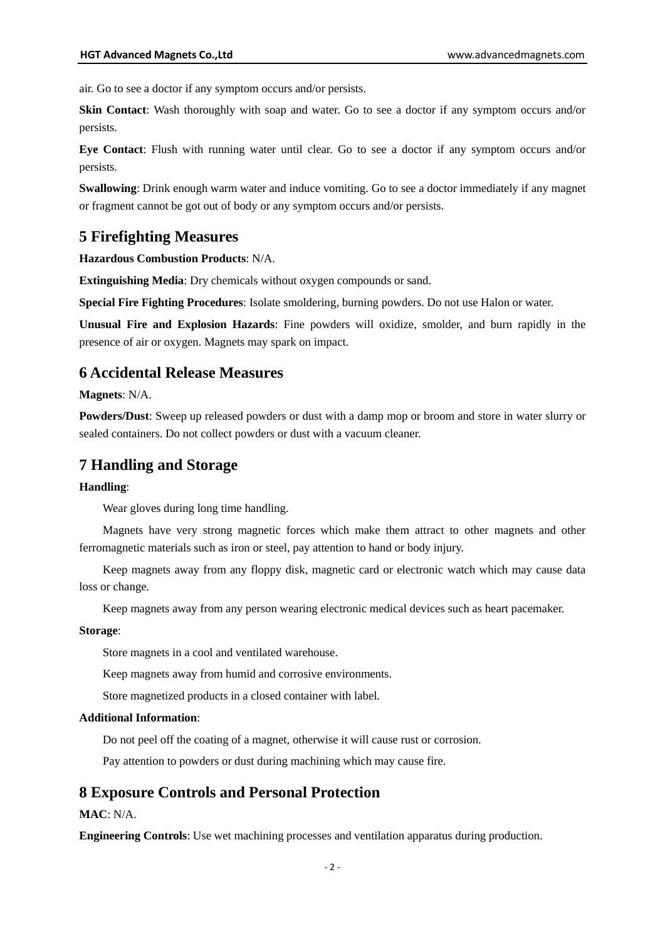air. Go to see a doctor if any symptom occurs and/or persists.

**Skin Contact**: Wash thoroughly with soap and water. Go to see a doctor if any symptom occurs and/or persists.

**Eye Contact**: Flush with running water until clear. Go to see a doctor if any symptom occurs and/or persists.

**Swallowing**: Drink enough warm water and induce vomiting. Go to see a doctor immediately if any magnet or fragment cannot be got out of body or any symptom occurs and/or persists.

### **5 Firefighting Measures**

**Hazardous Combustion Products**: N/A.

**Extinguishing Media**: Dry chemicals without oxygen compounds or sand.

**Special Fire Fighting Procedures**: Isolate smoldering, burning powders. Do not use Halon or water.

**Unusual Fire and Explosion Hazards**: Fine powders will oxidize, smolder, and burn rapidly in the presence of air or oxygen. Magnets may spark on impact.

### **6 Accidental Release Measures**

**Magnets**: N/A.

**Powders/Dust**: Sweep up released powders or dust with a damp mop or broom and store in water slurry or sealed containers. Do not collect powders or dust with a vacuum cleaner.

### **7 Handling and Storage**

#### **Handling**:

Wear gloves during long time handling.

Magnets have very strong magnetic forces which make them attract to other magnets and other ferromagnetic materials such as iron or steel, pay attention to hand or body injury.

Keep magnets away from any floppy disk, magnetic card or electronic watch which may cause data loss or change.

Keep magnets away from any person wearing electronic medical devices such as heart pacemaker.

#### **Storage**:

Store magnets in a cool and ventilated warehouse.

Keep magnets away from humid and corrosive environments.

Store magnetized products in a closed container with label.

#### **Additional Information**:

Do not peel off the coating of a magnet, otherwise it will cause rust or corrosion.

Pay attention to powders or dust during machining which may cause fire.

### **8 Exposure Controls and Personal Protection**

#### **MAC**: N/A.

**Engineering Controls**: Use wet machining processes and ventilation apparatus during production.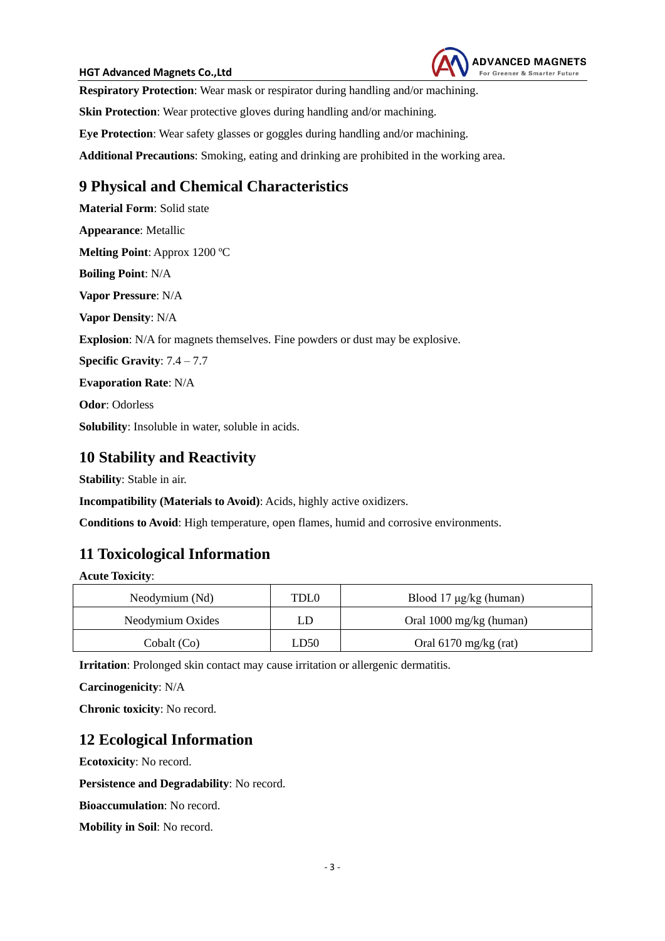#### **HGT Advanced Magnets Co.,Ltd**



**Respiratory Protection**: Wear mask or respirator during handling and/or machining.

**Skin Protection**: Wear protective gloves during handling and/or machining.

**Eye Protection**: Wear safety glasses or goggles during handling and/or machining.

**Additional Precautions**: Smoking, eating and drinking are prohibited in the working area.

## **9 Physical and Chemical Characteristics**

**Material Form**: Solid state **Appearance**: Metallic **Melting Point**: Approx 1200 ºC **Boiling Point**: N/A **Vapor Pressure**: N/A **Vapor Density**: N/A **Explosion**: N/A for magnets themselves. Fine powders or dust may be explosive. **Specific Gravity**: 7.4 – 7.7 **Evaporation Rate**: N/A **Odor**: Odorless **Solubility**: Insoluble in water, soluble in acids.

### **10 Stability and Reactivity**

**Stability**: Stable in air.

**Incompatibility (Materials to Avoid)**: Acids, highly active oxidizers.

**Conditions to Avoid**: High temperature, open flames, humid and corrosive environments.

## **11 Toxicological Information**

**Acute Toxicity**:

| Neodymium (Nd)   | TDL0 | Blood $17 \mu g/kg$ (human)       |  |
|------------------|------|-----------------------------------|--|
| Neodymium Oxides | ĹD   | Oral $1000 \text{ mg/kg}$ (human) |  |
| Cobalt (Co)      | LD50 | Oral $6170$ mg/kg (rat)           |  |

**Irritation**: Prolonged skin contact may cause irritation or allergenic dermatitis.

**Carcinogenicity**: N/A

**Chronic toxicity**: No record.

## **12 Ecological Information**

**Ecotoxicity**: No record.

**Persistence and Degradability**: No record.

**Bioaccumulation**: No record.

**Mobility in Soil**: No record.